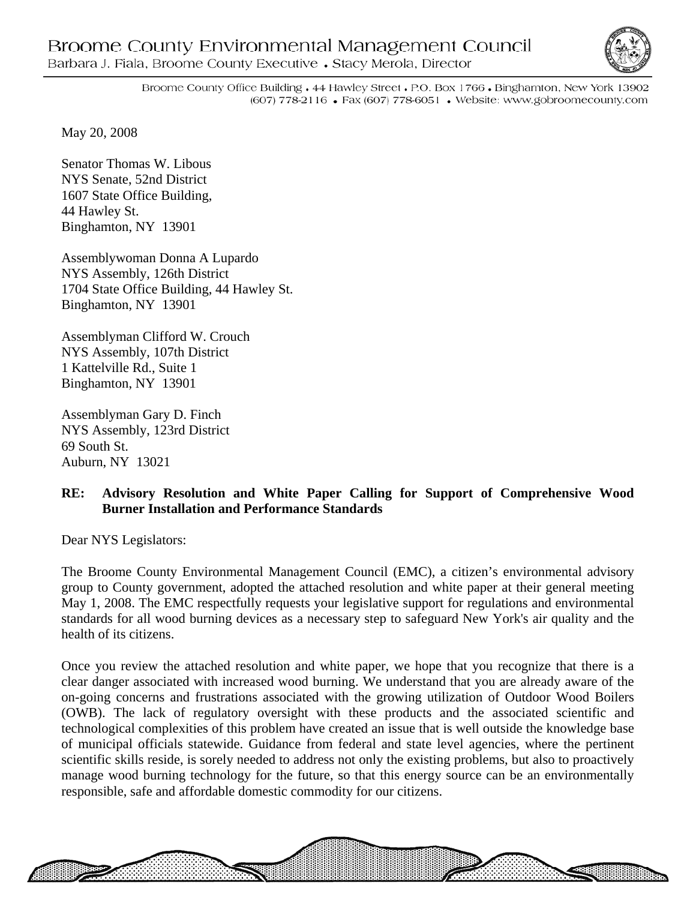## Broome County Environmental Management Council Barbara J. Fiala, Broome County Executive • Stacy Merola, Director



8888888888888

Broome County Office Building • 44 Hawley Street • P.O. Box 1766 • Binghamton, New York 13902 (607) 778-2116 • Fax (607) 778-6051 • Website: www.gobroomecounty.com

May 20, 2008

Senator Thomas W. Libous NYS Senate, 52nd District 1607 State Office Building, 44 Hawley St. Binghamton, NY 13901

Assemblywoman Donna A Lupardo NYS Assembly, 126th District 1704 State Office Building, 44 Hawley St. Binghamton, NY 13901

Assemblyman Clifford W. Crouch NYS Assembly, 107th District 1 Kattelville Rd., Suite 1 Binghamton, NY 13901

Assemblyman Gary D. Finch NYS Assembly, 123rd District 69 South St. Auburn, NY 13021

## **RE: Advisory Resolution and White Paper Calling for Support of Comprehensive Wood Burner Installation and Performance Standards**

Dear NYS Legislators:

The Broome County Environmental Management Council (EMC), a citizen's environmental advisory group to County government, adopted the attached resolution and white paper at their general meeting May 1, 2008. The EMC respectfully requests your legislative support for regulations and environmental standards for all wood burning devices as a necessary step to safeguard New York's air quality and the health of its citizens.

Once you review the attached resolution and white paper, we hope that you recognize that there is a clear danger associated with increased wood burning. We understand that you are already aware of the on-going concerns and frustrations associated with the growing utilization of Outdoor Wood Boilers (OWB). The lack of regulatory oversight with these products and the associated scientific and technological complexities of this problem have created an issue that is well outside the knowledge base of municipal officials statewide. Guidance from federal and state level agencies, where the pertinent scientific skills reside, is sorely needed to address not only the existing problems, but also to proactively manage wood burning technology for the future, so that this energy source can be an environmentally responsible, safe and affordable domestic commodity for our citizens.